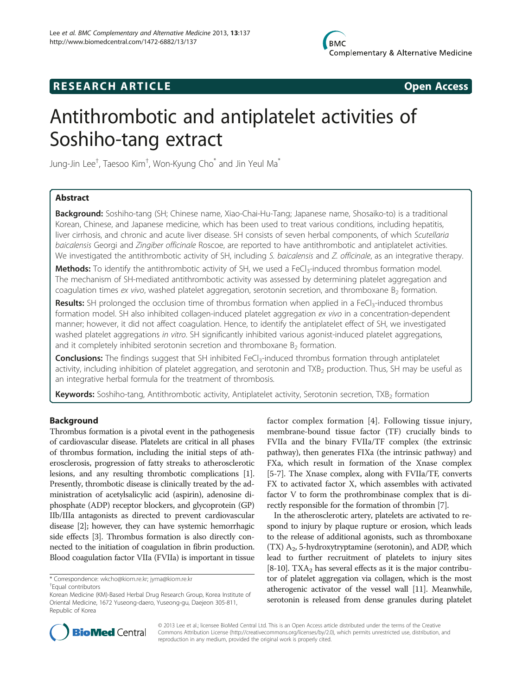## **RESEARCH ARTICLE Example 2014 CONSIDERING CONSIDERING CONSIDERING CONSIDERING CONSIDERING CONSIDERING CONSIDERING CONSIDERING CONSIDERING CONSIDERING CONSIDERING CONSIDERING CONSIDERING CONSIDERING CONSIDERING CONSIDE**



# Antithrombotic and antiplatelet activities of Soshiho-tang extract

Jung-Jin Lee $^\dagger$ , Taesoo Kim $^\dagger$ , Won-Kyung Cho $^{*}$  and Jin Yeul Ma $^{*}$ 

### Abstract

Background: Soshiho-tang (SH; Chinese name, Xiao-Chai-Hu-Tang; Japanese name, Shosaiko-to) is a traditional Korean, Chinese, and Japanese medicine, which has been used to treat various conditions, including hepatitis, liver cirrhosis, and chronic and acute liver disease. SH consists of seven herbal components, of which Scutellaria baicalensis Georgi and Zingiber officinale Roscoe, are reported to have antithrombotic and antiplatelet activities. We investigated the antithrombotic activity of SH, including S. baicalensis and Z. officinale, as an integrative therapy.

Methods: To identify the antithrombotic activity of SH, we used a FeCl<sub>3</sub>-induced thrombus formation model. The mechanism of SH-mediated antithrombotic activity was assessed by determining platelet aggregation and coagulation times ex vivo, washed platelet aggregation, serotonin secretion, and thromboxane  $B_2$  formation.

**Results:** SH prolonged the occlusion time of thrombus formation when applied in a FeCl<sub>3</sub>-induced thrombus formation model. SH also inhibited collagen-induced platelet aggregation ex vivo in a concentration-dependent manner; however, it did not affect coagulation. Hence, to identify the antiplatelet effect of SH, we investigated washed platelet aggregations in vitro. SH significantly inhibited various agonist-induced platelet aggregations, and it completely inhibited serotonin secretion and thromboxane  $B_2$  formation.

**Conclusions:** The findings suggest that SH inhibited FeCl<sub>3</sub>-induced thrombus formation through antiplatelet activity, including inhibition of platelet aggregation, and serotonin and TXB<sub>2</sub> production. Thus, SH may be useful as an integrative herbal formula for the treatment of thrombosis.

Keywords: Soshiho-tang, Antithrombotic activity, Antiplatelet activity, Serotonin secretion, TXB<sub>2</sub> formation

#### Background

Thrombus formation is a pivotal event in the pathogenesis of cardiovascular disease. Platelets are critical in all phases of thrombus formation, including the initial steps of atherosclerosis, progression of fatty streaks to atherosclerotic lesions, and any resulting thrombotic complications [[1](#page-6-0)]. Presently, thrombotic disease is clinically treated by the administration of acetylsalicylic acid (aspirin), adenosine diphosphate (ADP) receptor blockers, and glycoprotein (GP) IIb/IIIa antagonists as directed to prevent cardiovascular disease [\[2\]](#page-6-0); however, they can have systemic hemorrhagic side effects [\[3\]](#page-6-0). Thrombus formation is also directly connected to the initiation of coagulation in fibrin production. Blood coagulation factor VIIa (FVIIa) is important in tissue

factor complex formation [[4](#page-6-0)]. Following tissue injury, membrane-bound tissue factor (TF) crucially binds to FVIIa and the binary FVIIa/TF complex (the extrinsic pathway), then generates FIXa (the intrinsic pathway) and FXa, which result in formation of the Xnase complex [[5-7\]](#page-6-0). The Xnase complex, along with FVIIa/TF, converts FX to activated factor X, which assembles with activated factor V to form the prothrombinase complex that is directly responsible for the formation of thrombin [\[7](#page-6-0)].

In the atherosclerotic artery, platelets are activated to respond to injury by plaque rupture or erosion, which leads to the release of additional agonists, such as thromboxane (TX)  $A_2$ , 5-hydroxytryptamine (serotonin), and ADP, which lead to further recruitment of platelets to injury sites [[8-10](#page-6-0)]. TXA<sub>2</sub> has several effects as it is the major contributor of platelet aggregation via collagen, which is the most atherogenic activator of the vessel wall [[11](#page-6-0)]. Meanwhile, serotonin is released from dense granules during platelet



© 2013 Lee et al.; licensee BioMed Central Ltd. This is an Open Access article distributed under the terms of the Creative Commons Attribution License [\(http://creativecommons.org/licenses/by/2.0\)](http://creativecommons.org/licenses/by/2.0), which permits unrestricted use, distribution, and reproduction in any medium, provided the original work is properly cited.

<sup>\*</sup> Correspondence: [wkcho@kiom.re.kr](mailto:wkcho@kiom.re.kr); [jyma@kiom.re.kr](mailto:jyma@kiom.re.kr) †

Equal contributors

Korean Medicine (KM)-Based Herbal Drug Research Group, Korea Institute of Oriental Medicine, 1672 Yuseong-daero, Yuseong-gu, Daejeon 305-811, Republic of Korea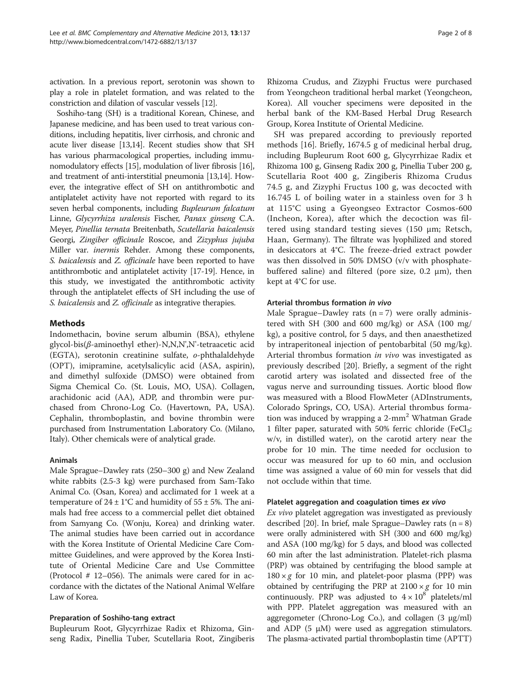activation. In a previous report, serotonin was shown to play a role in platelet formation, and was related to the constriction and dilation of vascular vessels [\[12\]](#page-6-0).

Soshiho-tang (SH) is a traditional Korean, Chinese, and Japanese medicine, and has been used to treat various conditions, including hepatitis, liver cirrhosis, and chronic and acute liver disease [\[13,14\]](#page-6-0). Recent studies show that SH has various pharmacological properties, including immunomodulatory effects [\[15\]](#page-6-0), modulation of liver fibrosis [[16](#page-7-0)], and treatment of anti-interstitial pneumonia [[13,14\]](#page-6-0). However, the integrative effect of SH on antithrombotic and antiplatelet activity have not reported with regard to its seven herbal components, including Bupleurum falcatum Linne, Glycyrrhiza uralensis Fischer, Panax ginseng C.A. Meyer, Pinellia ternata Breitenbath, Scutellaria baicalensis Georgi, Zingiber officinale Roscoe, and Zizyphus jujuba Miller var. inermis Rehder. Among these components, S. baicalensis and Z. officinale have been reported to have antithrombotic and antiplatelet activity [\[17-19\]](#page-7-0). Hence, in this study, we investigated the antithrombotic activity through the antiplatelet effects of SH including the use of S. baicalensis and Z. officinale as integrative therapies.

#### Methods

Indomethacin, bovine serum albumin (BSA), ethylene glycol-bis(β-aminoethyl ether)-N,N,N',N'-tetraacetic acid (EGTA), serotonin creatinine sulfate, o-phthalaldehyde (OPT), imipramine, acetylsalicylic acid (ASA, aspirin), and dimethyl sulfoxide (DMSO) were obtained from Sigma Chemical Co. (St. Louis, MO, USA). Collagen, arachidonic acid (AA), ADP, and thrombin were purchased from Chrono-Log Co. (Havertown, PA, USA). Cephalin, thromboplastin, and bovine thrombin were purchased from Instrumentation Laboratory Co. (Milano, Italy). Other chemicals were of analytical grade.

#### Animals

Male Sprague–Dawley rats (250–300 g) and New Zealand white rabbits (2.5-3 kg) were purchased from Sam-Tako Animal Co. (Osan, Korea) and acclimated for 1 week at a temperature of  $24 \pm 1^{\circ}$ C and humidity of  $55 \pm 5$ %. The animals had free access to a commercial pellet diet obtained from Samyang Co. (Wonju, Korea) and drinking water. The animal studies have been carried out in accordance with the Korea Institute of Oriental Medicine Care Committee Guidelines, and were approved by the Korea Institute of Oriental Medicine Care and Use Committee (Protocol # 12–056). The animals were cared for in accordance with the dictates of the National Animal Welfare Law of Korea.

#### Preparation of Soshiho-tang extract

Bupleurum Root, Glycyrrhizae Radix et Rhizoma, Ginseng Radix, Pinellia Tuber, Scutellaria Root, Zingiberis

Rhizoma Crudus, and Zizyphi Fructus were purchased from Yeongcheon traditional herbal market (Yeongcheon, Korea). All voucher specimens were deposited in the herbal bank of the KM-Based Herbal Drug Research Group, Korea Institute of Oriental Medicine.

SH was prepared according to previously reported methods [\[16](#page-7-0)]. Briefly, 1674.5 g of medicinal herbal drug, including Bupleurum Root 600 g, Glycyrrhizae Radix et Rhizoma 100 g, Ginseng Radix 200 g, Pinellia Tuber 200 g, Scutellaria Root 400 g, Zingiberis Rhizoma Crudus 74.5 g, and Zizyphi Fructus 100 g, was decocted with 16.745 L of boiling water in a stainless oven for 3 h at 115°C using a Gyeongseo Extractor Cosmos-600 (Incheon, Korea), after which the decoction was filtered using standard testing sieves (150 μm; Retsch, Haan, Germany). The filtrate was lyophilized and stored in desiccators at 4°C. The freeze-dried extract powder was then dissolved in 50% DMSO (v/v with phosphatebuffered saline) and filtered (pore size, 0.2 μm), then kept at 4°C for use.

#### Arterial thrombus formation in vivo

Male Sprague–Dawley rats  $(n = 7)$  were orally administered with SH (300 and 600 mg/kg) or ASA (100 mg/ kg), a positive control, for 5 days, and then anaesthetized by intraperitoneal injection of pentobarbital (50 mg/kg). Arterial thrombus formation in vivo was investigated as previously described [\[20](#page-7-0)]. Briefly, a segment of the right carotid artery was isolated and dissected free of the vagus nerve and surrounding tissues. Aortic blood flow was measured with a Blood FlowMeter (ADInstruments, Colorado Springs, CO, USA). Arterial thrombus formation was induced by wrapping a 2-mm<sup>2</sup> Whatman Grade 1 filter paper, saturated with 50% ferric chloride (FeCl<sub>3</sub>; w/v, in distilled water), on the carotid artery near the probe for 10 min. The time needed for occlusion to occur was measured for up to 60 min, and occlusion time was assigned a value of 60 min for vessels that did not occlude within that time.

#### Platelet aggregation and coagulation times ex vivo

Ex vivo platelet aggregation was investigated as previously described [[20\]](#page-7-0). In brief, male Sprague–Dawley rats  $(n = 8)$ were orally administered with SH (300 and 600 mg/kg) and ASA (100 mg/kg) for 5 days, and blood was collected 60 min after the last administration. Platelet-rich plasma (PRP) was obtained by centrifuging the blood sample at  $180 \times g$  for 10 min, and platelet-poor plasma (PPP) was obtained by centrifuging the PRP at  $2100 \times g$  for 10 min continuously. PRP was adjusted to  $4 \times 10^8$  platelets/ml with PPP. Platelet aggregation was measured with an aggregometer (Chrono-Log Co.), and collagen (3 μg/ml) and ADP  $(5 \mu M)$  were used as aggregation stimulators. The plasma-activated partial thromboplastin time (APTT)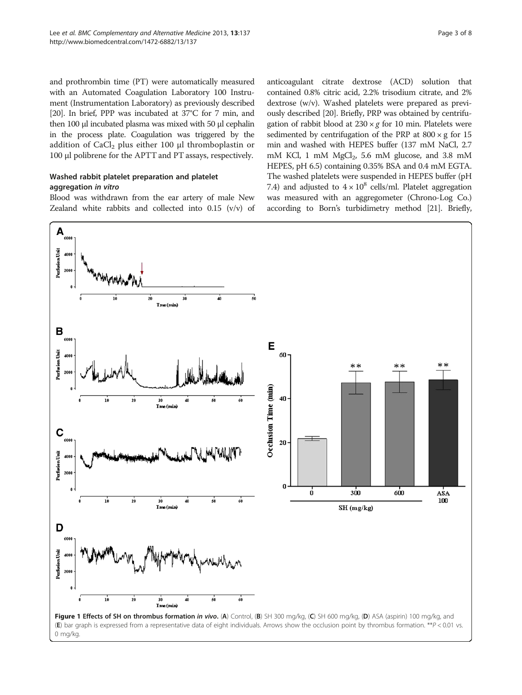<span id="page-2-0"></span>and prothrombin time (PT) were automatically measured with an Automated Coagulation Laboratory 100 Instrument (Instrumentation Laboratory) as previously described [[20](#page-7-0)]. In brief, PPP was incubated at 37°C for 7 min, and then 100 μl incubated plasma was mixed with 50 μl cephalin in the process plate. Coagulation was triggered by the addition of  $CaCl<sub>2</sub>$  plus either 100 μl thromboplastin or 100 μl polibrene for the APTT and PT assays, respectively.

#### Washed rabbit platelet preparation and platelet aggregation in vitro

Blood was withdrawn from the ear artery of male New Zealand white rabbits and collected into 0.15 (v/v) of anticoagulant citrate dextrose (ACD) solution that contained 0.8% citric acid, 2.2% trisodium citrate, and 2% dextrose (w/v). Washed platelets were prepared as previously described [\[20\]](#page-7-0). Briefly, PRP was obtained by centrifugation of rabbit blood at  $230 \times g$  for 10 min. Platelets were sedimented by centrifugation of the PRP at  $800 \times g$  for 15 min and washed with HEPES buffer (137 mM NaCl, 2.7 mM KCl, 1 mM  $MgCl<sub>2</sub>$ , 5.6 mM glucose, and 3.8 mM HEPES, pH 6.5) containing 0.35% BSA and 0.4 mM EGTA. The washed platelets were suspended in HEPES buffer (pH 7.4) and adjusted to  $4 \times 10^8$  cells/ml. Platelet aggregation was measured with an aggregometer (Chrono-Log Co.) according to Born's turbidimetry method [\[21\]](#page-7-0). Briefly,

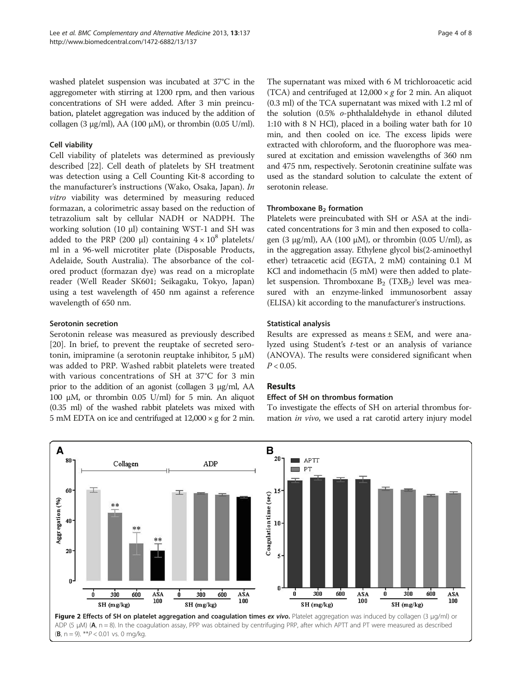<span id="page-3-0"></span>washed platelet suspension was incubated at 37°C in the aggregometer with stirring at 1200 rpm, and then various concentrations of SH were added. After 3 min preincubation, platelet aggregation was induced by the addition of collagen (3 μg/ml), AA (100 μM), or thrombin (0.05 U/ml).

#### Cell viability

Cell viability of platelets was determined as previously described [[22\]](#page-7-0). Cell death of platelets by SH treatment was detection using a Cell Counting Kit-8 according to the manufacturer's instructions (Wako, Osaka, Japan). In vitro viability was determined by measuring reduced formazan, a colorimetric assay based on the reduction of tetrazolium salt by cellular NADH or NADPH. The working solution (10 μl) containing WST-1 and SH was added to the PRP (200 μl) containing  $4 \times 10^8$  platelets/ ml in a 96-well microtiter plate (Disposable Products, Adelaide, South Australia). The absorbance of the colored product (formazan dye) was read on a microplate reader (Well Reader SK601; Seikagaku, Tokyo, Japan) using a test wavelength of 450 nm against a reference wavelength of 650 nm.

#### Serotonin secretion

Serotonin release was measured as previously described [[20\]](#page-7-0). In brief, to prevent the reuptake of secreted serotonin, imipramine (a serotonin reuptake inhibitor, 5 μM) was added to PRP. Washed rabbit platelets were treated with various concentrations of SH at 37°C for 3 min prior to the addition of an agonist (collagen 3 μg/ml, AA 100 μM, or thrombin 0.05 U/ml) for 5 min. An aliquot (0.35 ml) of the washed rabbit platelets was mixed with 5 mM EDTA on ice and centrifuged at 12,000 × g for 2 min.

The supernatant was mixed with 6 M trichloroacetic acid (TCA) and centrifuged at  $12,000 \times g$  for 2 min. An aliquot (0.3 ml) of the TCA supernatant was mixed with 1.2 ml of the solution (0.5% o-phthalaldehyde in ethanol diluted 1:10 with 8 N HCl), placed in a boiling water bath for 10 min, and then cooled on ice. The excess lipids were extracted with chloroform, and the fluorophore was measured at excitation and emission wavelengths of 360 nm and 475 nm, respectively. Serotonin creatinine sulfate was used as the standard solution to calculate the extent of serotonin release.

#### Thromboxane  $B<sub>2</sub>$  formation

Platelets were preincubated with SH or ASA at the indicated concentrations for 3 min and then exposed to collagen (3 μg/ml), AA (100 μM), or thrombin (0.05 U/ml), as in the aggregation assay. Ethylene glycol bis(2-aminoethyl ether) tetraacetic acid (EGTA, 2 mM) containing 0.1 M KCl and indomethacin (5 mM) were then added to platelet suspension. Thromboxane  $B_2$  (TXB<sub>2</sub>) level was measured with an enzyme-linked immunosorbent assay (ELISA) kit according to the manufacturer's instructions.

#### Statistical analysis

Results are expressed as means ± SEM, and were analyzed using Student'<sup>s</sup> t-test or an analysis of variance (ANOVA). The results were considered significant when  $P < 0.05$ .

#### Results

#### Effect of SH on thrombus formation

To investigate the effects of SH on arterial thrombus formation in vivo, we used a rat carotid artery injury model



 $(B, n = 9)$ . \*\* $P < 0.01$  vs. 0 mg/kg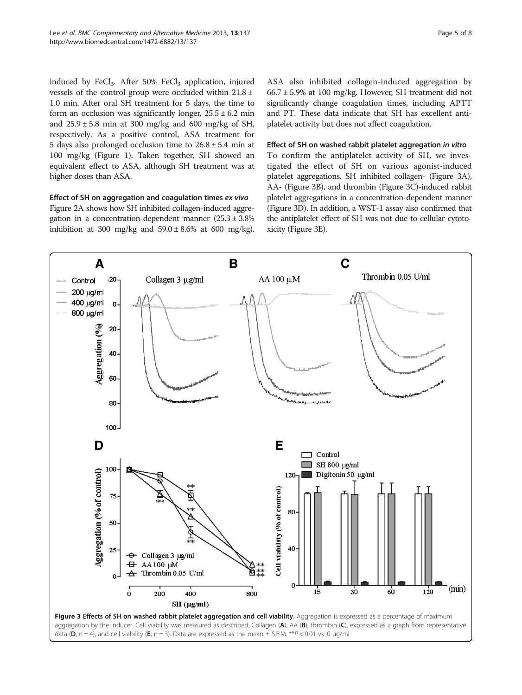<span id="page-4-0"></span>induced by FeCl<sub>3</sub>. After 50% FeCl<sub>3</sub> application, injured vessels of the control group were occluded within 21.8 ± 1.0 min. After oral SH treatment for 5 days, the time to form an occlusion was significantly longer,  $25.5 \pm 6.2$  min and  $25.9 \pm 5.8$  min at 300 mg/kg and 600 mg/kg of SH, respectively. As a positive control, ASA treatment for 5 days also prolonged occlusion time to  $26.8 \pm 5.4$  min at 100 mg/kg (Figure [1\)](#page-2-0). Taken together, SH showed an equivalent effect to ASA, although SH treatment was at higher doses than ASA.

#### Effect of SH on aggregation and coagulation times ex vivo

Figure [2A](#page-3-0) shows how SH inhibited collagen-induced aggregation in a concentration-dependent manner  $(25.3 \pm 3.8\%)$ inhibition at 300 mg/kg and  $59.0 \pm 8.6\%$  at 600 mg/kg).

ASA also inhibited collagen-induced aggregation by 66.7 ± 5.9% at 100 mg/kg. However, SH treatment did not significantly change coagulation times, including APTT and PT. These data indicate that SH has excellent antiplatelet activity but does not affect coagulation.

#### Effect of SH on washed rabbit platelet aggregation in vitro

To confirm the antiplatelet activity of SH, we investigated the effect of SH on various agonist-induced platelet aggregations. SH inhibited collagen- (Figure 3A), AA- (Figure 3B), and thrombin (Figure 3C)-induced rabbit platelet aggregations in a concentration-dependent manner (Figure 3D). In addition, a WST-1 assay also confirmed that the antiplatelet effect of SH was not due to cellular cytotoxicity (Figure 3E).

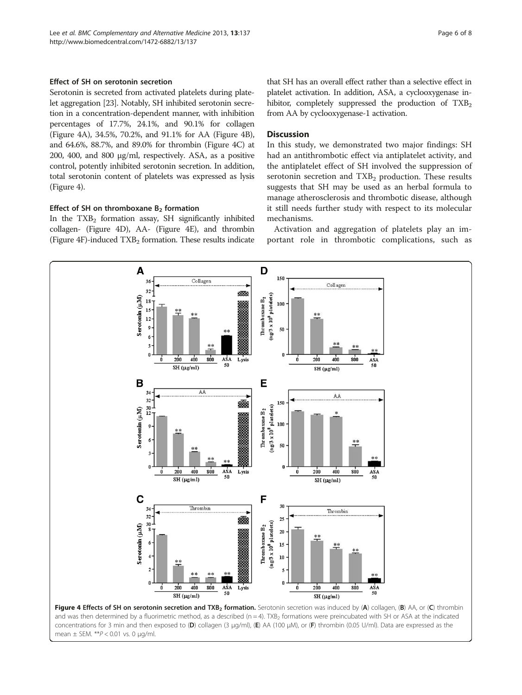#### <span id="page-5-0"></span>Effect of SH on serotonin secretion

Serotonin is secreted from activated platelets during platelet aggregation [[23](#page-7-0)]. Notably, SH inhibited serotonin secretion in a concentration-dependent manner, with inhibition percentages of 17.7%, 24.1%, and 90.1% for collagen (Figure 4A), 34.5%, 70.2%, and 91.1% for AA (Figure 4B), and 64.6%, 88.7%, and 89.0% for thrombin (Figure 4C) at 200, 400, and 800 μg/ml, respectively. ASA, as a positive control, potently inhibited serotonin secretion. In addition, total serotonin content of platelets was expressed as lysis (Figure 4).

#### Effect of SH on thromboxane  $B<sub>2</sub>$  formation

In the  $TXB<sub>2</sub>$  formation assay, SH significantly inhibited collagen- (Figure 4D), AA- (Figure 4E), and thrombin (Figure  $4F$ )-induced  $TXB<sub>2</sub>$  formation. These results indicate

that SH has an overall effect rather than a selective effect in platelet activation. In addition, ASA, a cyclooxygenase inhibitor, completely suppressed the production of  $TXB<sub>2</sub>$ from AA by cyclooxygenase-1 activation.

#### **Discussion**

In this study, we demonstrated two major findings: SH had an antithrombotic effect via antiplatelet activity, and the antiplatelet effect of SH involved the suppression of serotonin secretion and  $TXB<sub>2</sub>$  production. These results suggests that SH may be used as an herbal formula to manage atherosclerosis and thrombotic disease, although it still needs further study with respect to its molecular mechanisms.

Activation and aggregation of platelets play an important role in thrombotic complications, such as



and was then determined by a fluorimetric method, as a described ( $n = 4$ ). TXB<sub>2</sub> formations were preincubated with SH or ASA at the indicated concentrations for 3 min and then exposed to (D) collagen (3 μg/ml), (E) AA (100 μM), or (F) thrombin (0.05 U/ml). Data are expressed as the mean  $\pm$  SEM. \*\* $P$  < 0.01 vs. 0 µg/ml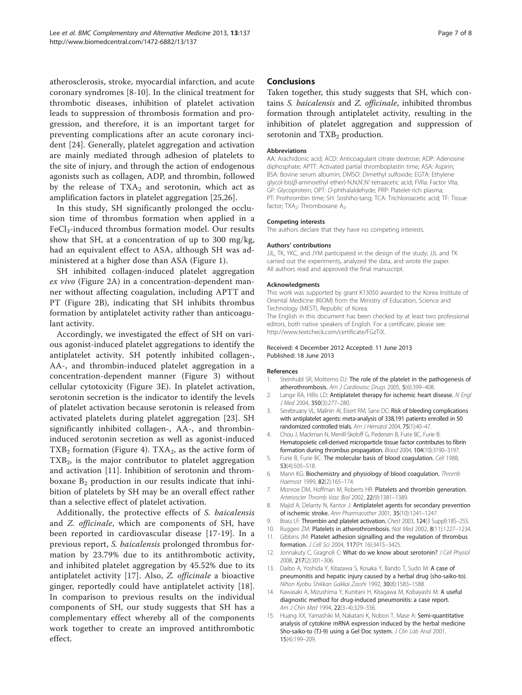<span id="page-6-0"></span>atherosclerosis, stroke, myocardial infarction, and acute coronary syndromes [8-10]. In the clinical treatment for thrombotic diseases, inhibition of platelet activation leads to suppression of thrombosis formation and progression, and therefore, it is an important target for preventing complications after an acute coronary incident [[24\]](#page-7-0). Generally, platelet aggregation and activation are mainly mediated through adhesion of platelets to the site of injury, and through the action of endogenous agonists such as collagen, ADP, and thrombin, followed by the release of  $TXA_2$  and serotonin, which act as amplification factors in platelet aggregation [\[25,26](#page-7-0)].

In this study, SH significantly prolonged the occlusion time of thrombus formation when applied in a FeCl<sub>3</sub>-induced thrombus formation model. Our results show that SH, at a concentration of up to 300 mg/kg, had an equivalent effect to ASA, although SH was administered at a higher dose than ASA (Figure [1\)](#page-2-0).

SH inhibited collagen-induced platelet aggregation ex vivo (Figure [2](#page-3-0)A) in a concentration-dependent manner without affecting coagulation, including APTT and PT (Figure [2](#page-3-0)B), indicating that SH inhibits thrombus formation by antiplatelet activity rather than anticoagulant activity.

Accordingly, we investigated the effect of SH on various agonist-induced platelet aggregations to identify the antiplatelet activity. SH potently inhibited collagen-, AA-, and thrombin-induced platelet aggregation in a concentration-dependent manner (Figure [3\)](#page-4-0) without cellular cytotoxicity (Figure [3E](#page-4-0)). In platelet activation, serotonin secretion is the indicator to identify the levels of platelet activation because serotonin is released from activated platelets during platelet aggregation [\[23](#page-7-0)]. SH significantly inhibited collagen-, AA-, and thrombininduced serotonin secretion as well as agonist-induced  $TXB<sub>2</sub>$  formation (Figure [4](#page-5-0)). TXA<sub>2</sub>, as the active form of  $TXB<sub>2</sub>$ , is the major contributor to platelet aggregation and activation [11]. Inhibition of serotonin and thromboxane  $B_2$  production in our results indicate that inhibition of platelets by SH may be an overall effect rather than a selective effect of platelet activation.

Additionally, the protective effects of S. baicalensis and *Z. officinale*, which are components of SH, have been reported in cardiovascular disease [\[17](#page-7-0)-[19](#page-7-0)]. In a previous report, S. baicalensis prolonged thrombus formation by 23.79% due to its antithrombotic activity, and inhibited platelet aggregation by 45.52% due to its antiplatelet activity [\[17](#page-7-0)]. Also, Z. officinale a bioactive ginger, reportedly could have antiplatelet activity [[18](#page-7-0)]. In comparison to previous results on the individual components of SH, our study suggests that SH has a complementary effect whereby all of the components work together to create an improved antithrombotic effect.

#### **Conclusions**

Taken together, this study suggests that SH, which contains S. baicalensis and Z. officinale, inhibited thrombus formation through antiplatelet activity, resulting in the inhibition of platelet aggregation and suppression of serotonin and TXB<sub>2</sub> production.

#### **Abbreviations**

AA: Arachidonic acid; ACD: Anticoagulant citrate dextrose; ADP: Adenosine diphosphate; APTT: Activated partial thromboplastin time; ASA: Aspirin; BSA: Bovine serum albumin; DMSO: Dimethyl sulfoxide; EGTA: Ethylene glycol-bis(β-aminoethyl ether)-N,N,N',N'-tetraacetic acid; FVIIa: Factor VIIa; GP: Glycoprotein; OPT: O-phthalaldehyde; PRP: Platelet-rich plasma; PT: Prothrombin time; SH: Soshiho-tang; TCA: Trichloroacetic acid; TF: Tissue factor; TXA<sub>2</sub>: Thromboxane A<sub>2</sub>.

#### Competing interests

The authors declare that they have no competing interests.

#### Authors' contributions

JJL, TK, YKC, and JYM participated in the design of the study; JJL and TK carried out the experiments, analyzed the data, and wrote the paper. All authors read and approved the final manuscript.

#### Acknowledgments

This work was supported by grant K13050 awarded to the Korea Institute of Oriental Medicine (KIOM) from the Ministry of Education, Science and Technology (MEST), Republic of Korea.

The English in this document has been checked by at least two professional editors, both native speakers of English. For a certificate, please see: [http://www.textcheck.com/certificate/FGzTiX.](http://www.textcheck.com/certificate/FGzTiX)

#### Received: 4 December 2012 Accepted: 11 June 2013 Published: 18 June 2013

#### References

- 1. Steinhubl SR, Moliterno DJ: The role of the platelet in the pathogenesis of atherothrombosis. Am J Cardiovasc Drugs 2005, 5(6):399–408.
- 2. Lange RA, Hillis LD: Antiplatelet therapy for ischemic heart disease. N Engl J Med 2004, 350(3):277–280.
- 3. Serebruany VL, Malinin AI, Eisert RM, Sane DC: Risk of bleeding complications with antiplatelet agents: meta-analysis of 338,191 patients enrolled in 50 randomized controlled trials. Am J Hematol 2004, 75(1):40–47.
- 4. Chou J, Mackman N, Merrill-Skoloff G, Pedersen B, Furie BC, Furie B: Hematopoietic cell-derived microparticle tissue factor contributes to fibrin formation during thrombus propagation. Blood 2004, 104(10):3190–3197.
- 5. Furie B, Furie BC: The molecular basis of blood coagulation. Cell 1988, 53(4):505–518.
- 6. Mann KG: Biochemistry and physiology of blood coagulation. Thromb Haemost 1999, 82(2):165–174.
- 7. Monroe DM, Hoffman M, Roberts HR: Platelets and thrombin generation. Arterioscler Thromb Vasc Biol 2002, 22(9):1381–1389.
- 8. Majid A, Delanty N, Kantor J: Antiplatelet agents for secondary prevention of ischemic stroke. Ann Pharmacother 2001, 35(10):1241–1247.
- 9. Brass LF: Thrombin and platelet activation. Chest 2003, 124(3 Suppl):18S-25S.
- 10. Ruggeri ZM: Platelets in atherothrombosis. Nat Med 2002, 8(11):1227-1234
- 11. Gibbins JM: Platelet adhesion signalling and the regulation of thrombus formation. J Cell Sci 2004, 117(Pt 16):3415–3425.
- 12. Jonnakuty C, Gragnoli C: What do we know about serotonin? J Cell Physiol 2008, 217(2):301–306.
- 13. Daibo A, Yoshida Y, Kitazawa S, Kosaka Y, Bando T, Sudo M: A case of pneumonitis and hepatic injury caused by a herbal drug (sho-saiko-to). Nihon Kyobu Shikkan Gakkai Zasshi 1992, 30(8):1583–1588.
- 14. Kawasaki A, Mizushima Y, Kunitani H, Kitagawa M, Kobayashi M: A useful diagnostic method for drug-induced pneumonitis: a case report. Am J Chin Med 1994, 22(3–4):329–336.
- 15. Huang XX, Yamashiki M, Nakatani K, Nobori T, Mase A: Semi-quantitative analysis of cytokine mRNA expression induced by the herbal medicine Sho-saiko-to (TJ-9) using a Gel Doc system. J Clin Lab Anal 2001, 15(4):199–209.